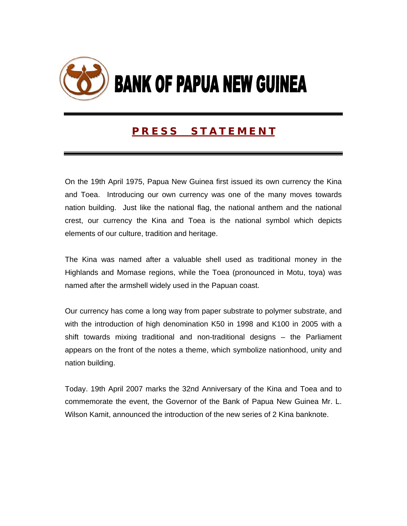

# **P R E S S S T A T E M E N T**

On the 19th April 1975, Papua New Guinea first issued its own currency the Kina and Toea. Introducing our own currency was one of the many moves towards nation building. Just like the national flag, the national anthem and the national crest, our currency the Kina and Toea is the national symbol which depicts elements of our culture, tradition and heritage.

The Kina was named after a valuable shell used as traditional money in the Highlands and Momase regions, while the Toea (pronounced in Motu, toya) was named after the armshell widely used in the Papuan coast.

Our currency has come a long way from paper substrate to polymer substrate, and with the introduction of high denomination K50 in 1998 and K100 in 2005 with a shift towards mixing traditional and non-traditional designs – the Parliament appears on the front of the notes a theme, which symbolize nationhood, unity and nation building.

Today. 19th April 2007 marks the 32nd Anniversary of the Kina and Toea and to commemorate the event, the Governor of the Bank of Papua New Guinea Mr. L. Wilson Kamit, announced the introduction of the new series of 2 Kina banknote.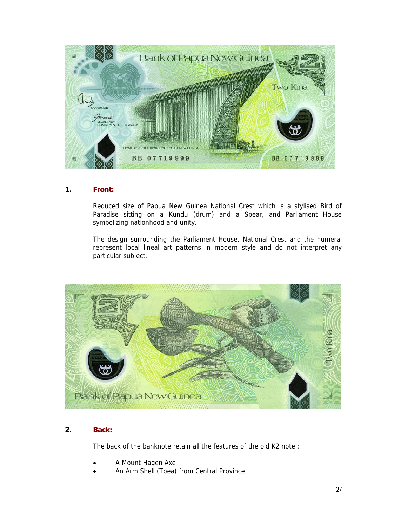

## **1. Front:**

 Reduced size of Papua New Guinea National Crest which is a stylised Bird of Paradise sitting on a Kundu (drum) and a Spear, and Parliament House symbolizing nationhood and unity.

 The design surrounding the Parliament House, National Crest and the numeral represent local lineal art patterns in modern style and do not interpret any particular subject.



## **2. Back:**

The back of the banknote retain all the features of the old K2 note :

- A Mount Hagen Axe
- An Arm Shell (Toea) from Central Province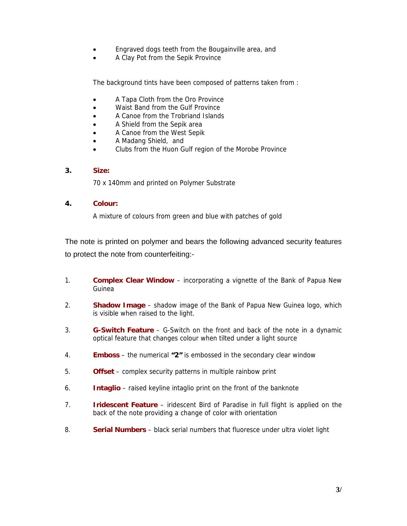- Engraved dogs teeth from the Bougainville area, and
- A Clay Pot from the Sepik Province

The background tints have been composed of patterns taken from :

- A Tapa Cloth from the Oro Province
- Waist Band from the Gulf Province
- A Canoe from the Trobriand Islands
- A Shield from the Sepik area
- A Canoe from the West Sepik
- A Madang Shield, and
- Clubs from the Huon Gulf region of the Morobe Province

## **3. Size:**

70 x 140mm and printed on Polymer Substrate

## **4. Colour:**

A mixture of colours from green and blue with patches of gold

The note is printed on polymer and bears the following advanced security features to protect the note from counterfeiting:-

- 1. **Complex Clear Window** incorporating a vignette of the Bank of Papua New Guinea
- 2. **Shadow Image** shadow image of the Bank of Papua New Guinea logo, which is visible when raised to the light.
- 3. **G-Switch Feature** G-Switch on the front and back of the note in a dynamic optical feature that changes colour when tilted under a light source
- 4. **Emboss** the numerical **"2"** is embossed in the secondary clear window
- 5. **Offset** complex security patterns in multiple rainbow print
- 6. **Intaglio** raised keyline intaglio print on the front of the banknote
- 7. **Iridescent Feature** iridescent Bird of Paradise in full flight is applied on the back of the note providing a change of color with orientation
- 8. **Serial Numbers** black serial numbers that fluoresce under ultra violet light